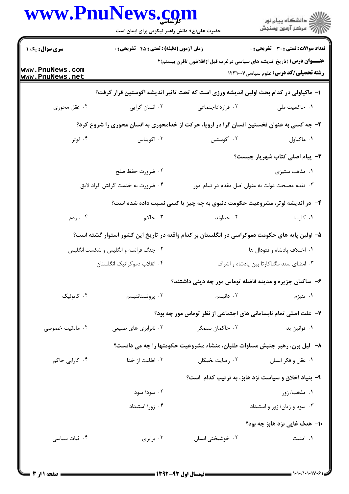|                                    | حضرت علی(ع): دانش راهبر نیکویی برای ایمان است                                                 |                                                                                | ر<br>دانشڪاه پيام نور)<br>ا∛ مرڪز آزمون وسنڊش     |
|------------------------------------|-----------------------------------------------------------------------------------------------|--------------------------------------------------------------------------------|---------------------------------------------------|
| سری سوال: یک ۱                     | زمان آزمون (دقیقه) : تستی : 45 آتشریحی : 0                                                    |                                                                                | <b>تعداد سوالات : تستی : 30 ٪ تشریحی : 0</b>      |
| www.PnuNews.com<br>www.PnuNews.net |                                                                                               | <b>عنـــوان درس:</b> (تاریخ اندیشه های سیاسی درغرب قبل ازافلاطون تاقرن بیستم(۲ | <b>رشته تحصیلی/کد درس:</b> علوم سیاسی1۲۳۱۰۰۷      |
|                                    | ا– ماکیاولی در کدام بحث اولین اندیشه ورزی است که تحت تاثیر اندیشه اگوستین قرار گرفت؟          |                                                                                |                                                   |
| ۰۴ عقل محوری                       | ۰۳ انسان گرایی                                                                                | ۰۲ قرارداداجتماعی                                                              | ٠١. حاكميت ملي                                    |
|                                    | ۲- چه کسی به عنوان نخستین انسان گرا در اروپا، حرکت از خدامحوری به انسان محوری را شروع کرد؟    |                                                                                |                                                   |
| ۰۴ لوتر                            | ۰۳ اکویناس                                                                                    | ٢. أگوستين                                                                     | ٠١. ماكياول                                       |
|                                    |                                                                                               |                                                                                | <b>۳</b> - پیام اصلی کتاب شهریار چیست؟            |
|                                    | ۰۲ ضرورت حفظ صلح                                                                              |                                                                                | ۰۱ مذهب ستيزي                                     |
|                                    | ۰۴ ضرورت به خدمت گرفتن افراد لايق                                                             |                                                                                | ۰۳ تقدم مصلحت دولت به عنوان اصل مقدم در تمام امور |
|                                    |                                                                                               | ۴- در اندیشه لوتر، مشروعیت حکومت دنیوی به چه چیز یا کسی نسبت داده شده است؟     |                                                   |
| ۰۴ مردم                            | ۰۳ حاکم                                                                                       | ۰۲ خداوند                                                                      | ٠١ كليسا                                          |
|                                    | ۵– اولین پایه های حکومت دموکراسی در انگلستان بر کدام واقعه در تاریخ این کشور استوار گشته است؟ |                                                                                |                                                   |
|                                    | ۰۲ جنگ فرانسه و انگلیس و شکست انگلیس                                                          |                                                                                | ۰۱ اختلاف پادشاه و فئودال ها                      |
|                                    | ۰۴ انقلاب دموكراتيك انگلستان                                                                  |                                                                                | ۰۳ امضای سند مگناکارتا بین پادشاه و اشراف         |
|                                    |                                                                                               | ۶– ساکنان جزیره و مدینه فاضله توماس مور چه دینی داشتند؟                        |                                                   |
| ۰۴ کاتولیک                         | ۰۳ پروتستانتيسم                                                                               | ۲. دائیسم                                                                      | ۰۱ تئيزم                                          |
|                                    |                                                                                               | ۷- علت اصلی تمام نابسامانی های اجتماعی از نظر توماس مور چه بود؟                |                                                   |
| ۰۴ مالکیت خصوصی                    | ۰۳ نابرابری های طبیعی                                                                         | ۰۲ حاکمان ستمگر                                                                | ٠١. قوانين بد                                     |
|                                    |                                                                                               | ۸– لیل برن، رهبر جنبش مساوات طلبان، منشاء مشروعیت حکومتها را چه می دانست؟      |                                                   |
| ۰۴ کارایی حاکم                     | ۰۳ اطاعت از خدا                                                                               | ۰۲ رضایت نخبگان                                                                | ۰۱ عقل و فکر انسان                                |
|                                    |                                                                                               | ۹- بنیاد اخلاق و سیاست نزد هابز، به ترتیب کدام است؟                            |                                                   |
|                                    | ۰۲ سود/ سود                                                                                   |                                                                                | ۰۱ مذهب/ زور                                      |
|                                    | ۰۴ زور/ استبداد                                                                               |                                                                                | ۰۳ سود و زیان/ زور و استبداد                      |
|                                    |                                                                                               |                                                                                | ۱۰– هدف غایی نزد هابز چه بود؟                     |
| ۰۴ ثبات سیاسی                      | ۰۳ برابری                                                                                     | ۰۲ خوشبختی انسان                                                               | ۰۱ امنیت                                          |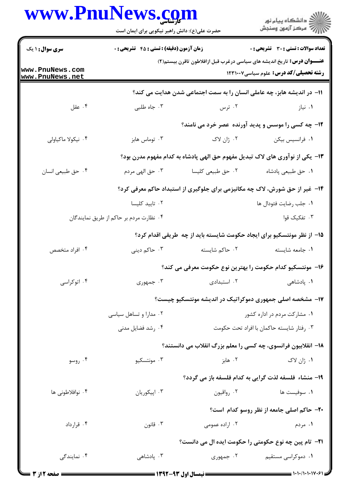|                                    | www.PnuNews.com                                                             |                   | ِ<br>∭ دانشڪاه پيام نور<br>∭ مرڪز آزمون وسنڊش                                                                                   |  |
|------------------------------------|-----------------------------------------------------------------------------|-------------------|---------------------------------------------------------------------------------------------------------------------------------|--|
|                                    | حضرت علی(ع): دانش راهبر نیکویی برای ایمان است                               |                   |                                                                                                                                 |  |
| سری سوال: ۱ یک                     | <b>زمان آزمون (دقیقه) : تستی : 45 گشریحی : 0</b>                            |                   | تعداد سوالات : تستى : 30 - تشريحي : 0                                                                                           |  |
| www.PnuNews.com<br>www.PnuNews.net |                                                                             |                   | <b>عنــــوان درس:</b> تاریخ اندیشه های سیاسی درغرب قبل ازافلاطون تاقرن بیستم(۲)<br><b>رشته تحصیلی/کد درس:</b> علوم سیاسی1۲۳۱۰۰۷ |  |
|                                    |                                                                             |                   | 11– در اندیشه هابز، چه عاملی انسان را به سمت اجتماعی شدن هدایت می کند؟                                                          |  |
| ۰۴ عقل                             | ۰۳ جاه طلبی                                                                 | ۰۲ ترس            | ۰۱ نیاز                                                                                                                         |  |
|                                    |                                                                             |                   | ۱۲- چه کسی را موسس و پدید آورنده عصر خرد می نامند؟                                                                              |  |
| ۰۴ نیکولا ماکیاولی                 | ۰۳ توماس هابز                                                               | ۲. ژان لاک        | ٠١ فرانسيس بيكن                                                                                                                 |  |
|                                    |                                                                             |                   | ۱۳– یکی از نوآوری های لاک تبدیل مفهوم حق الهی پادشاه به کدام مفهوم مدرن بود؟                                                    |  |
| ۰۴ حق طبیعی انسان                  | ۰۳ حق الهي مردم                                                             | ۰۲ حق طبیعی کلیسا | ٠١ حق طبيعي پادشاه                                                                                                              |  |
|                                    | ۱۴- غیر از حق شورش، لاک چه مکانیزمی برای جلوگیری از استبداد حاکم معرفی کرد؟ |                   |                                                                                                                                 |  |
|                                    | ٠٢ تاييد كليسا                                                              |                   | ٠١. جلب رضايت فئودال ها                                                                                                         |  |
|                                    | ۰۴ نظارت مردم بر حاکم از طریق نمایندگان                                     |                   | ۰۳ تفکیک قوا                                                                                                                    |  |
|                                    |                                                                             |                   | ۱۵– از نظر مونتسکیو برای ایجاد حکومت شایسته باید از چه طریقی اقدام کرد؟                                                         |  |
| ۰۴ افراد متخصص                     | ۰۳ حاکم دینی                                                                | ۰۲ حاکم شایسته    | ٠١. جامعه شايسته                                                                                                                |  |
|                                    |                                                                             |                   | ۱۶– مونتسکیو کدام حکومت را بهترین نوع حکومت معرفی می کند؟                                                                       |  |
| ۰۴ اتوکراسی                        | ۰۳ جمهوری                                                                   | ۰۲ استبدادی       | ٠١. پادشاهی                                                                                                                     |  |
|                                    | ۱۷- مشخصه اصلی جمهوری دموکراتیک در اندیشه مونتسکیو چیست؟                    |                   |                                                                                                                                 |  |
|                                    | ۰۲ مدارا و تساهل سیاسی                                                      |                   | ۰۱ مشارکت مردم در اداره کشور                                                                                                    |  |
|                                    | ۰۴ رشد فضایل مدنی                                                           |                   | ۰۳ رفتار شايسته حاكمان با افراد تحت حكومت                                                                                       |  |
|                                    |                                                                             |                   | ۱۸– انقلابیون فرانسوی، چه کسی را معلم بزرگ انقلاب می دانستند؟                                                                   |  |
| ۰۴ روسو                            | ونتسكيو $\cdot$ ۳ $\cdot$                                                   | ۰۲ هابز           | ۱. ژان لاک                                                                                                                      |  |
|                                    |                                                                             |                   | 1۹- منشاء فلسفه لذت گرایی به کدام فلسفه باز می گردد؟                                                                            |  |
| ۰۴ نوافلاطونی ها                   | ۰۳ اپیکوریان                                                                | ۰۲ رواقيون        | ٠١ سوفيست ها                                                                                                                    |  |
|                                    |                                                                             |                   | <b>۲۰-</b> حاکم اصلی جامعه از نظر روسو کدام است؟                                                                                |  |
| ۰۴ قرارداد                         | ۰۳ قانون                                                                    | ۰۲ اراده عمومی    | ۰۱ مردم                                                                                                                         |  |
|                                    |                                                                             |                   | <b>۲۱</b> - تام پین چه نوع حکومتی را حکومت ایده ال می دانست؟                                                                    |  |
| ۰۴ نمایندگ <i>ی</i>                | ۰۳ پادشاه <i>ی</i>                                                          | ۰۲ جمهوری         | ۰۱ دموکراسی مستقیم                                                                                                              |  |